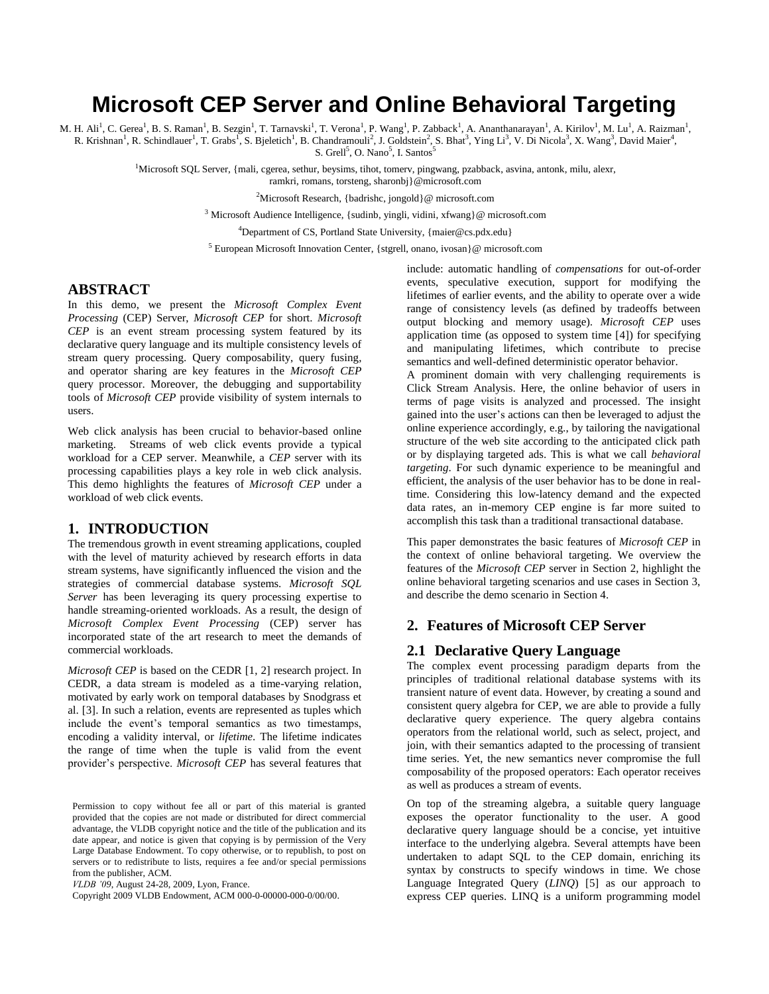# **Microsoft CEP Server and Online Behavioral Targeting**

M. H. Ali<sup>1</sup>, C. Gerea<sup>1</sup>, B. S. Raman<sup>1</sup>, B. Sezgin<sup>1</sup>, T. Tarnavski<sup>1</sup>, T. Verona<sup>1</sup>, P. Wang<sup>1</sup>, P. Zabback<sup>1</sup>, A. Ananthanarayan<sup>1</sup>, A. Kirilov<sup>1</sup>, M. Lu<sup>1</sup>, A. Raizman<sup>1</sup>, R. Krishnan<sup>1</sup>, R. Schindlauer<sup>1</sup>, T. Grabs<sup>1</sup>, S. Bjeletich<sup>1</sup>, B. Chandramouli<sup>2</sup>, J. Goldstein<sup>2</sup>, S. Bhat<sup>3</sup>, Ying Li<sup>3</sup>, V. Di Nicola<sup>3</sup>, X. Wang<sup>3</sup>, David Maier<sup>4</sup>,

S. Grell<sup>5</sup>, O. Nano<sup>5</sup>, I. Santos<sup>5</sup>

<sup>1</sup>Microsoft SQL Server, {mali, cgerea, sethur, beysims, tihot, tomerv, pingwang, pzabback, asvina, antonk, milu, alexr, ramkri, romans, torsteng, sharonbj}@microsoft.com

<sup>2</sup>Microsoft Research, {badrishc, jongold}@ microsoft.com

<sup>3</sup> Microsoft Audience Intelligence, {sudinb, yingli, vidini, xfwang}@ microsoft.com

<sup>4</sup>Department of CS, Portland State University, {maier@cs.pdx.edu}

<sup>5</sup> European Microsoft Innovation Center, {stgrell, onano, ivosan}@ microsoft.com

## **ABSTRACT**

In this demo, we present the *Microsoft Complex Event Processing* (CEP) Server, *Microsoft CEP* for short. *Microsoft CEP* is an event stream processing system featured by its declarative query language and its multiple consistency levels of stream query processing. Query composability, query fusing, and operator sharing are key features in the *Microsoft CEP* query processor. Moreover, the debugging and supportability tools of *Microsoft CEP* provide visibility of system internals to users.

Web click analysis has been crucial to behavior-based online marketing. Streams of web click events provide a typical workload for a CEP server. Meanwhile, a *CEP* server with its processing capabilities plays a key role in web click analysis. This demo highlights the features of *Microsoft CEP* under a workload of web click events.

## **1. INTRODUCTION**

The tremendous growth in event streaming applications, coupled with the level of maturity achieved by research efforts in data stream systems, have significantly influenced the vision and the strategies of commercial database systems. *Microsoft SQL Server* has been leveraging its query processing expertise to handle streaming-oriented workloads. As a result, the design of *Microsoft Complex Event Processing* (CEP) server has incorporated state of the art research to meet the demands of commercial workloads.

*Microsoft CEP* is based on the CEDR [1, 2] research project. In CEDR, a data stream is modeled as a time-varying relation, motivated by early work on temporal databases by Snodgrass et al. [3]. In such a relation, events are represented as tuples which include the event's temporal semantics as two timestamps, encoding a validity interval, or *lifetime*. The lifetime indicates the range of time when the tuple is valid from the event provider's perspective. *Microsoft CEP* has several features that

*VLDB '09*, August 24-28, 2009, Lyon, France.

Copyright 2009 VLDB Endowment, ACM 000-0-00000-000-0/00/00.

include: automatic handling of *compensations* for out-of-order events, speculative execution, support for modifying the lifetimes of earlier events, and the ability to operate over a wide range of consistency levels (as defined by tradeoffs between output blocking and memory usage). *Microsoft CEP* uses application time (as opposed to system time [4]) for specifying and manipulating lifetimes, which contribute to precise semantics and well-defined deterministic operator behavior.

A prominent domain with very challenging requirements is Click Stream Analysis. Here, the online behavior of users in terms of page visits is analyzed and processed. The insight gained into the user's actions can then be leveraged to adjust the online experience accordingly, e.g., by tailoring the navigational structure of the web site according to the anticipated click path or by displaying targeted ads. This is what we call *behavioral targeting*. For such dynamic experience to be meaningful and efficient, the analysis of the user behavior has to be done in realtime. Considering this low-latency demand and the expected data rates, an in-memory CEP engine is far more suited to accomplish this task than a traditional transactional database.

This paper demonstrates the basic features of *Microsoft CEP* in the context of online behavioral targeting. We overview the features of the *Microsoft CEP* server in Section 2, highlight the online behavioral targeting scenarios and use cases in Section 3, and describe the demo scenario in Section 4.

# **2. Features of Microsoft CEP Server**

## **2.1 Declarative Query Language**

The complex event processing paradigm departs from the principles of traditional relational database systems with its transient nature of event data. However, by creating a sound and consistent query algebra for CEP, we are able to provide a fully declarative query experience. The query algebra contains operators from the relational world, such as select, project, and join, with their semantics adapted to the processing of transient time series. Yet, the new semantics never compromise the full composability of the proposed operators: Each operator receives as well as produces a stream of events.

On top of the streaming algebra, a suitable query language exposes the operator functionality to the user. A good declarative query language should be a concise, yet intuitive interface to the underlying algebra. Several attempts have been undertaken to adapt SQL to the CEP domain, enriching its syntax by constructs to specify windows in time. We chose Language Integrated Query (*LINQ*) [\[5\]](#page-3-0) as our approach to express CEP queries. LINQ is a uniform programming model

Permission to copy without fee all or part of this material is granted provided that the copies are not made or distributed for direct commercial advantage, the VLDB copyright notice and the title of the publication and its date appear, and notice is given that copying is by permission of the Very Large Database Endowment. To copy otherwise, or to republish, to post on servers or to redistribute to lists, requires a fee and/or special permissions from the publisher, ACM.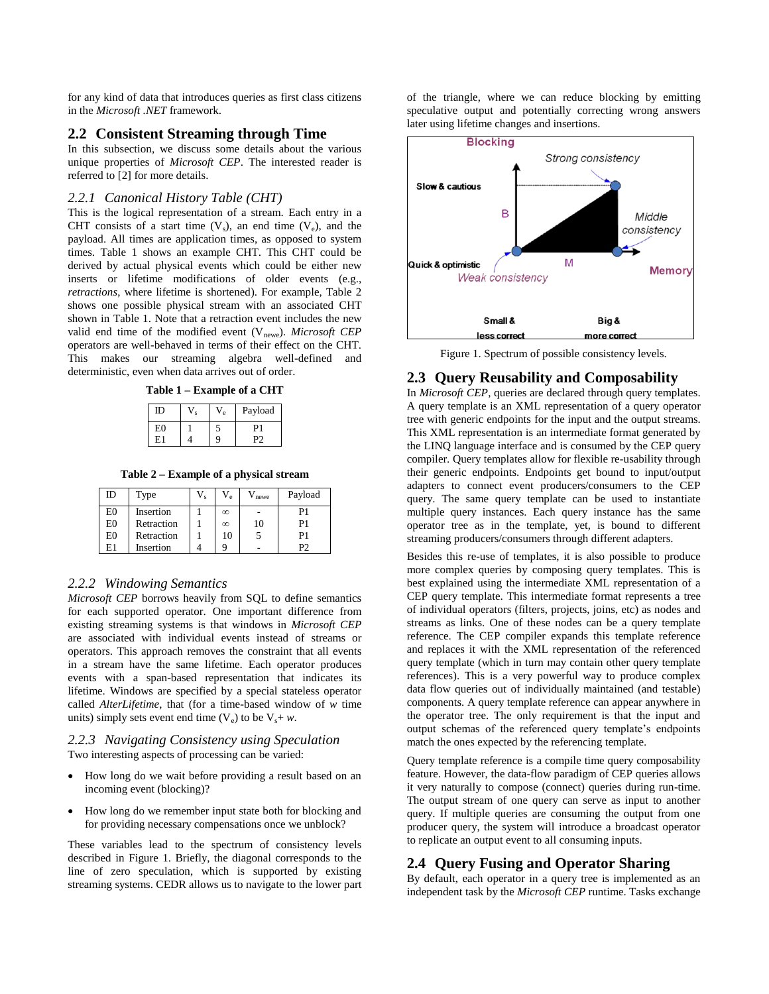for any kind of data that introduces queries as first class citizens in the *Microsoft .NET* framework.

## **2.2 Consistent Streaming through Time**

In this subsection, we discuss some details about the various unique properties of *Microsoft CEP*. The interested reader is referred to [2] for more details.

#### *2.2.1 Canonical History Table (CHT)*

This is the logical representation of a stream. Each entry in a CHT consists of a start time  $(V_s)$ , an end time  $(V_e)$ , and the payload. All times are application times, as opposed to system times. Table 1 shows an example CHT. This CHT could be derived by actual physical events which could be either new inserts or lifetime modifications of older events (e.g., *retractions*, where lifetime is shortened). For example, Table 2 shows one possible physical stream with an associated CHT shown in Table 1. Note that a retraction event includes the new valid end time of the modified event (V<sub>newe</sub>). *Microsoft CEP* operators are well-behaved in terms of their effect on the CHT. This makes our streaming algebra well-defined and deterministic, even when data arrives out of order.

**Table 1 – Example of a CHT**

|    | e | Payload |
|----|---|---------|
| E0 | J |         |
|    | O |         |

**Table 2 – Example of a physical stream**

| ID             | Type       | V, | $V_e$    | newe | Payload        |
|----------------|------------|----|----------|------|----------------|
| E0             | Insertion  |    | ∞        |      | P1             |
| E0             | Retraction |    | $\infty$ | 10   | P <sub>1</sub> |
| E <sub>0</sub> | Retraction |    | 10       |      | P1             |
| E1             | Insertion  |    |          |      | P٦             |

#### *2.2.2 Windowing Semantics*

*Microsoft CEP* borrows heavily from SQL to define semantics for each supported operator. One important difference from existing streaming systems is that windows in *Microsoft CEP* are associated with individual events instead of streams or operators. This approach removes the constraint that all events in a stream have the same lifetime. Each operator produces events with a span-based representation that indicates its lifetime. Windows are specified by a special stateless operator called *AlterLifetime*, that (for a time-based window of *w* time units) simply sets event end time  $(V_e)$  to be  $V_s + w$ .

#### *2.2.3 Navigating Consistency using Speculation* Two interesting aspects of processing can be varied:

- How long do we wait before providing a result based on an incoming event (blocking)?
- How long do we remember input state both for blocking and for providing necessary compensations once we unblock?

These variables lead to the spectrum of consistency levels described in Figure 1. Briefly, the diagonal corresponds to the line of zero speculation, which is supported by existing streaming systems. CEDR allows us to navigate to the lower part of the triangle, where we can reduce blocking by emitting speculative output and potentially correcting wrong answers later using lifetime changes and insertions.



Figure 1. Spectrum of possible consistency levels.

## **2.3 Query Reusability and Composability**

In *Microsoft CEP*, queries are declared through query templates. A query template is an XML representation of a query operator tree with generic endpoints for the input and the output streams. This XML representation is an intermediate format generated by the LINQ language interface and is consumed by the CEP query compiler. Query templates allow for flexible re-usability through their generic endpoints. Endpoints get bound to input/output adapters to connect event producers/consumers to the CEP query. The same query template can be used to instantiate multiple query instances. Each query instance has the same operator tree as in the template, yet, is bound to different streaming producers/consumers through different adapters.

Besides this re-use of templates, it is also possible to produce more complex queries by composing query templates. This is best explained using the intermediate XML representation of a CEP query template. This intermediate format represents a tree of individual operators (filters, projects, joins, etc) as nodes and streams as links. One of these nodes can be a query template reference. The CEP compiler expands this template reference and replaces it with the XML representation of the referenced query template (which in turn may contain other query template references). This is a very powerful way to produce complex data flow queries out of individually maintained (and testable) components. A query template reference can appear anywhere in the operator tree. The only requirement is that the input and output schemas of the referenced query template's endpoints match the ones expected by the referencing template.

Query template reference is a compile time query composability feature. However, the data-flow paradigm of CEP queries allows it very naturally to compose (connect) queries during run-time. The output stream of one query can serve as input to another query. If multiple queries are consuming the output from one producer query, the system will introduce a broadcast operator to replicate an output event to all consuming inputs.

## **2.4 Query Fusing and Operator Sharing**

By default, each operator in a query tree is implemented as an independent task by the *Microsoft CEP* runtime. Tasks exchange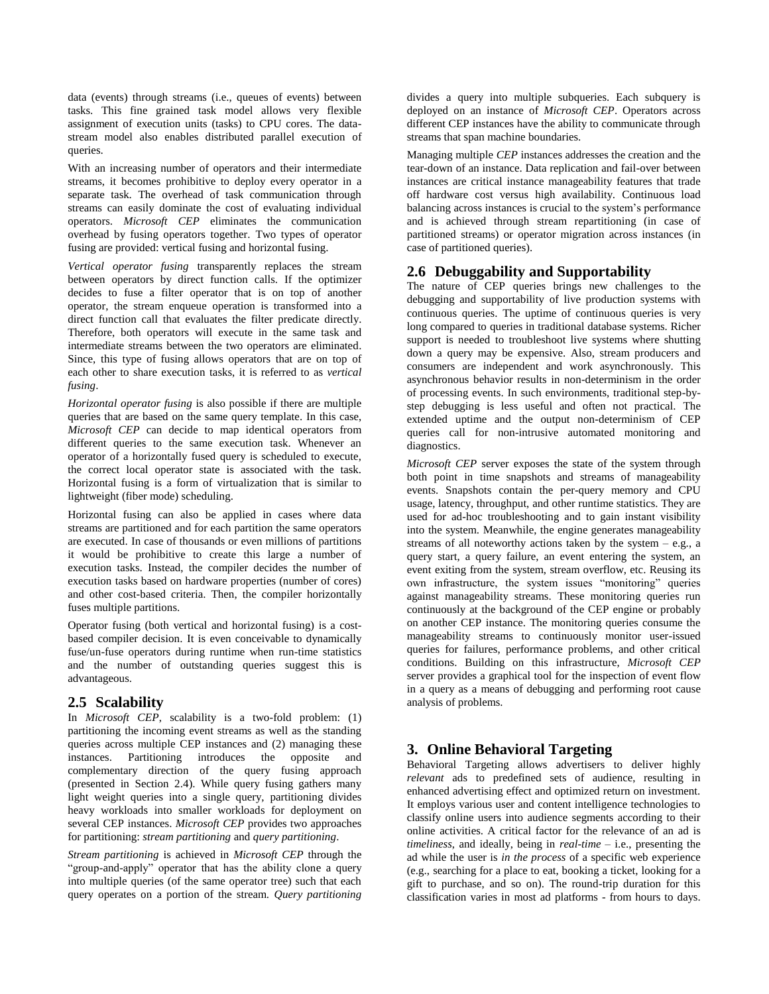data (events) through streams (i.e., queues of events) between tasks. This fine grained task model allows very flexible assignment of execution units (tasks) to CPU cores. The datastream model also enables distributed parallel execution of queries.

With an increasing number of operators and their intermediate streams, it becomes prohibitive to deploy every operator in a separate task. The overhead of task communication through streams can easily dominate the cost of evaluating individual operators. *Microsoft CEP* eliminates the communication overhead by fusing operators together. Two types of operator fusing are provided: vertical fusing and horizontal fusing.

*Vertical operator fusing* transparently replaces the stream between operators by direct function calls. If the optimizer decides to fuse a filter operator that is on top of another operator, the stream enqueue operation is transformed into a direct function call that evaluates the filter predicate directly. Therefore, both operators will execute in the same task and intermediate streams between the two operators are eliminated. Since, this type of fusing allows operators that are on top of each other to share execution tasks, it is referred to as *vertical fusing*.

*Horizontal operator fusing* is also possible if there are multiple queries that are based on the same query template. In this case, *Microsoft CEP* can decide to map identical operators from different queries to the same execution task. Whenever an operator of a horizontally fused query is scheduled to execute, the correct local operator state is associated with the task. Horizontal fusing is a form of virtualization that is similar to lightweight (fiber mode) scheduling.

Horizontal fusing can also be applied in cases where data streams are partitioned and for each partition the same operators are executed. In case of thousands or even millions of partitions it would be prohibitive to create this large a number of execution tasks. Instead, the compiler decides the number of execution tasks based on hardware properties (number of cores) and other cost-based criteria. Then, the compiler horizontally fuses multiple partitions.

Operator fusing (both vertical and horizontal fusing) is a costbased compiler decision. It is even conceivable to dynamically fuse/un-fuse operators during runtime when run-time statistics and the number of outstanding queries suggest this is advantageous.

# **2.5 Scalability**

In *Microsoft CEP*, scalability is a two-fold problem: (1) partitioning the incoming event streams as well as the standing queries across multiple CEP instances and (2) managing these instances. Partitioning introduces the opposite and complementary direction of the query fusing approach (presented in Section 2.4). While query fusing gathers many light weight queries into a single query, partitioning divides heavy workloads into smaller workloads for deployment on several CEP instances. *Microsoft CEP* provides two approaches for partitioning: *stream partitioning* and *query partitioning*.

*Stream partitioning* is achieved in *Microsoft CEP* through the "group-and-apply" operator that has the ability clone a query into multiple queries (of the same operator tree) such that each query operates on a portion of the stream. *Query partitioning* divides a query into multiple subqueries. Each subquery is deployed on an instance of *Microsoft CEP*. Operators across different CEP instances have the ability to communicate through streams that span machine boundaries.

Managing multiple *CEP* instances addresses the creation and the tear-down of an instance. Data replication and fail-over between instances are critical instance manageability features that trade off hardware cost versus high availability. Continuous load balancing across instances is crucial to the system's performance and is achieved through stream repartitioning (in case of partitioned streams) or operator migration across instances (in case of partitioned queries).

# **2.6 Debuggability and Supportability**

The nature of CEP queries brings new challenges to the debugging and supportability of live production systems with continuous queries. The uptime of continuous queries is very long compared to queries in traditional database systems. Richer support is needed to troubleshoot live systems where shutting down a query may be expensive. Also, stream producers and consumers are independent and work asynchronously. This asynchronous behavior results in non-determinism in the order of processing events. In such environments, traditional step-bystep debugging is less useful and often not practical. The extended uptime and the output non-determinism of CEP queries call for non-intrusive automated monitoring and diagnostics.

*Microsoft CEP* server exposes the state of the system through both point in time snapshots and streams of manageability events. Snapshots contain the per-query memory and CPU usage, latency, throughput, and other runtime statistics. They are used for ad-hoc troubleshooting and to gain instant visibility into the system. Meanwhile, the engine generates manageability streams of all noteworthy actions taken by the system  $-$  e.g., a query start, a query failure, an event entering the system, an event exiting from the system, stream overflow, etc. Reusing its own infrastructure, the system issues "monitoring" queries against manageability streams. These monitoring queries run continuously at the background of the CEP engine or probably on another CEP instance. The monitoring queries consume the manageability streams to continuously monitor user-issued queries for failures, performance problems, and other critical conditions. Building on this infrastructure, *Microsoft CEP* server provides a graphical tool for the inspection of event flow in a query as a means of debugging and performing root cause analysis of problems.

# **3. Online Behavioral Targeting**

Behavioral Targeting allows advertisers to deliver highly *relevant* ads to predefined sets of audience, resulting in enhanced advertising effect and optimized return on investment. It employs various user and content intelligence technologies to classify online users into audience segments according to their online activities. A critical factor for the relevance of an ad is *timeliness*, and ideally, being in *real-time* – i.e., presenting the ad while the user is *in the process* of a specific web experience (e.g., searching for a place to eat, booking a ticket, looking for a gift to purchase, and so on). The round-trip duration for this classification varies in most ad platforms - from hours to days.